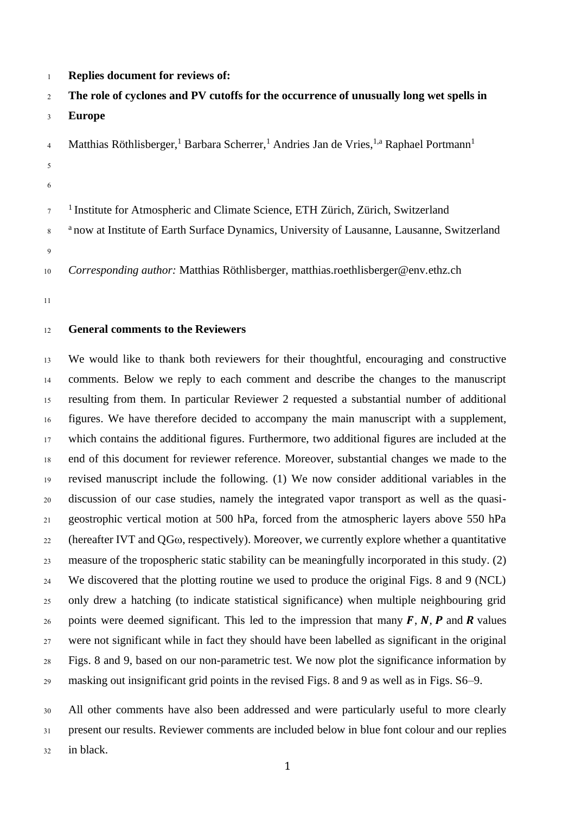**Replies document for reviews of:** 

# **The role of cyclones and PV cutoffs for the occurrence of unusually long wet spells in**

- **Europe**
- Matthias Röthlisberger,<sup>1</sup> Barbara Scherrer,<sup>1</sup> Andries Jan de Vries, <sup>1,a</sup> Raphael Portmann<sup>1</sup>
- 
- <sup>1</sup> Institute for Atmospheric and Climate Science, ETH Zürich, Zürich, Switzerland
- <sup>8</sup> now at Institute of Earth Surface Dynamics, University of Lausanne, Lausanne, Switzerland
- 

*Corresponding author:* Matthias Röthlisberger, matthias.roethlisberger@env.ethz.ch

## **General comments to the Reviewers**

 We would like to thank both reviewers for their thoughtful, encouraging and constructive comments. Below we reply to each comment and describe the changes to the manuscript resulting from them. In particular Reviewer 2 requested a substantial number of additional figures. We have therefore decided to accompany the main manuscript with a supplement, which contains the additional figures. Furthermore, two additional figures are included at the end of this document for reviewer reference. Moreover, substantial changes we made to the revised manuscript include the following. (1) We now consider additional variables in the discussion of our case studies, namely the integrated vapor transport as well as the quasi- geostrophic vertical motion at 500 hPa, forced from the atmospheric layers above 550 hPa 22 (hereafter IVT and  $QG\omega$ , respectively). Moreover, we currently explore whether a quantitative measure of the tropospheric static stability can be meaningfully incorporated in this study. (2) We discovered that the plotting routine we used to produce the original Figs. 8 and 9 (NCL) only drew a hatching (to indicate statistical significance) when multiple neighbouring grid 26 points were deemed significant. This led to the impression that many  $F$ ,  $N$ ,  $P$  and  $R$  values were not significant while in fact they should have been labelled as significant in the original Figs. 8 and 9, based on our non-parametric test. We now plot the significance information by masking out insignificant grid points in the revised Figs. 8 and 9 as well as in Figs. S6–9.

 All other comments have also been addressed and were particularly useful to more clearly present our results. Reviewer comments are included below in blue font colour and our replies

in black.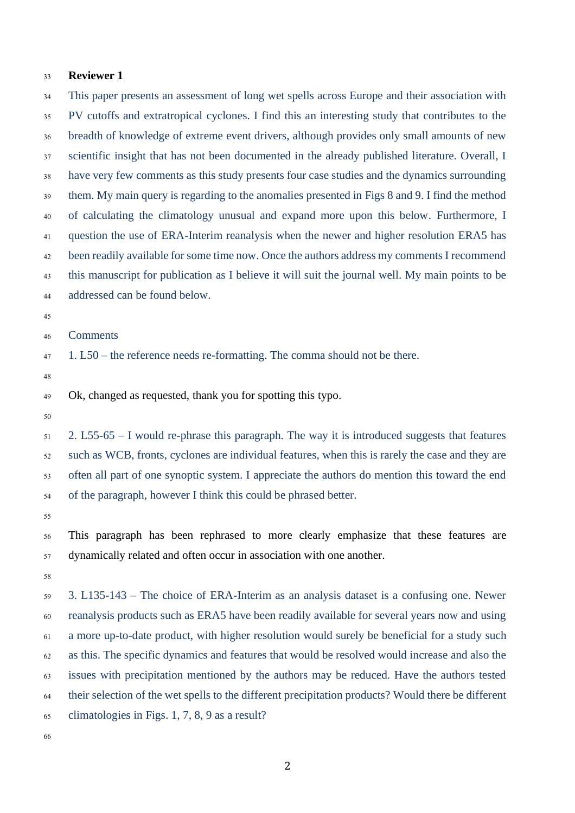#### **Reviewer 1**

 This paper presents an assessment of long wet spells across Europe and their association with PV cutoffs and extratropical cyclones. I find this an interesting study that contributes to the breadth of knowledge of extreme event drivers, although provides only small amounts of new scientific insight that has not been documented in the already published literature. Overall, I have very few comments as this study presents four case studies and the dynamics surrounding them. My main query is regarding to the anomalies presented in Figs 8 and 9. I find the method of calculating the climatology unusual and expand more upon this below. Furthermore, I question the use of ERA-Interim reanalysis when the newer and higher resolution ERA5 has been readily available for some time now. Once the authors address my comments I recommend this manuscript for publication as I believe it will suit the journal well. My main points to be addressed can be found below.

Comments

1. L50 – the reference needs re-formatting. The comma should not be there.

Ok, changed as requested, thank you for spotting this typo.

 2. L55-65 – I would re-phrase this paragraph. The way it is introduced suggests that features such as WCB, fronts, cyclones are individual features, when this is rarely the case and they are often all part of one synoptic system. I appreciate the authors do mention this toward the end of the paragraph, however I think this could be phrased better.

 This paragraph has been rephrased to more clearly emphasize that these features are dynamically related and often occur in association with one another.

 3. L135-143 – The choice of ERA-Interim as an analysis dataset is a confusing one. Newer reanalysis products such as ERA5 have been readily available for several years now and using a more up-to-date product, with higher resolution would surely be beneficial for a study such as this. The specific dynamics and features that would be resolved would increase and also the issues with precipitation mentioned by the authors may be reduced. Have the authors tested their selection of the wet spells to the different precipitation products? Would there be different climatologies in Figs. 1, 7, 8, 9 as a result?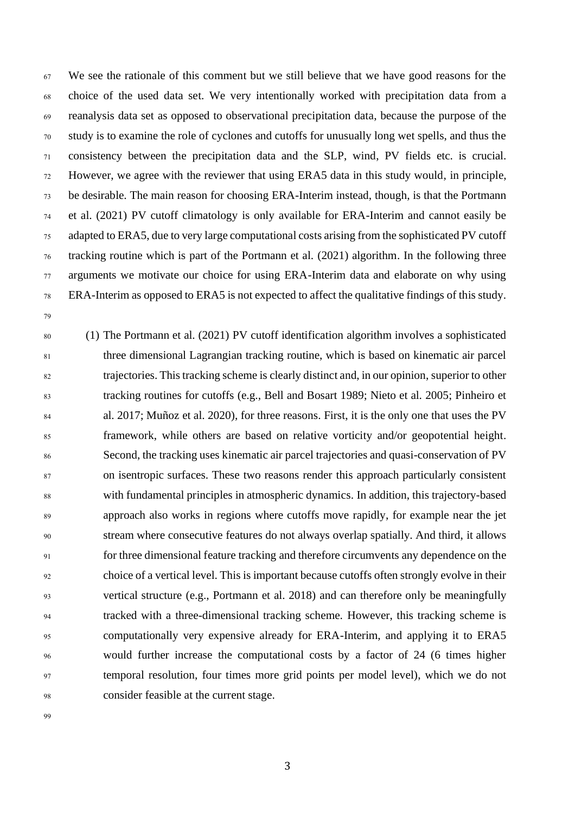We see the rationale of this comment but we still believe that we have good reasons for the choice of the used data set. We very intentionally worked with precipitation data from a reanalysis data set as opposed to observational precipitation data, because the purpose of the study is to examine the role of cyclones and cutoffs for unusually long wet spells, and thus the consistency between the precipitation data and the SLP, wind, PV fields etc. is crucial. However, we agree with the reviewer that using ERA5 data in this study would, in principle, be desirable. The main reason for choosing ERA-Interim instead, though, is that the Portmann et al. (2021) PV cutoff climatology is only available for ERA-Interim and cannot easily be adapted to ERA5, due to very large computational costs arising from the sophisticated PV cutoff tracking routine which is part of the Portmann et al. (2021) algorithm. In the following three arguments we motivate our choice for using ERA-Interim data and elaborate on why using ERA-Interim as opposed to ERA5 is not expected to affect the qualitative findings of this study.

 (1) The Portmann et al. (2021) PV cutoff identification algorithm involves a sophisticated three dimensional Lagrangian tracking routine, which is based on kinematic air parcel trajectories. This tracking scheme is clearly distinct and, in our opinion, superior to other tracking routines for cutoffs (e.g., Bell and Bosart 1989; Nieto et al. 2005; Pinheiro et al. 2017; Muñoz et al. 2020), for three reasons. First, it is the only one that uses the PV framework, while others are based on relative vorticity and/or geopotential height. Second, the tracking uses kinematic air parcel trajectories and quasi-conservation of PV on isentropic surfaces. These two reasons render this approach particularly consistent with fundamental principles in atmospheric dynamics. In addition, this trajectory-based approach also works in regions where cutoffs move rapidly, for example near the jet stream where consecutive features do not always overlap spatially. And third, it allows for three dimensional feature tracking and therefore circumvents any dependence on the choice of a vertical level. This is important because cutoffs often strongly evolve in their vertical structure (e.g., Portmann et al. 2018) and can therefore only be meaningfully tracked with a three-dimensional tracking scheme. However, this tracking scheme is computationally very expensive already for ERA-Interim, and applying it to ERA5 would further increase the computational costs by a factor of 24 (6 times higher temporal resolution, four times more grid points per model level), which we do not consider feasible at the current stage.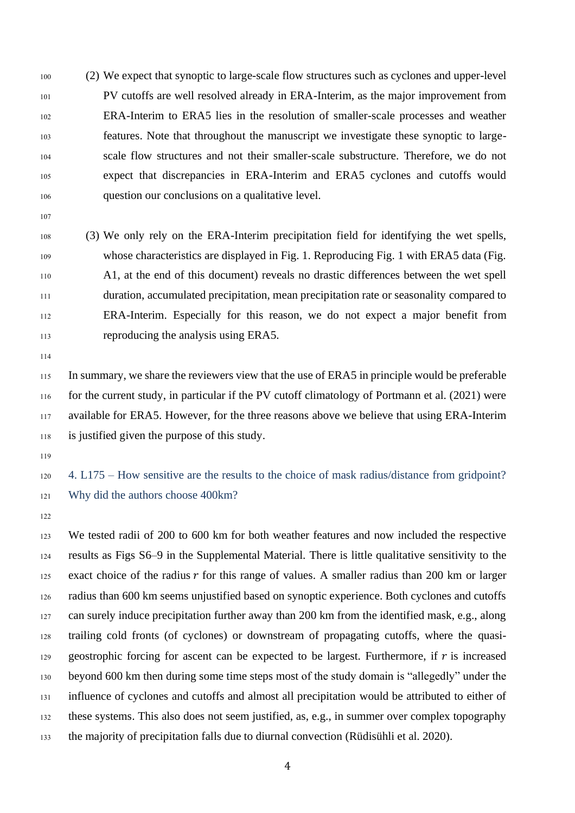- (2) We expect that synoptic to large-scale flow structures such as cyclones and upper-level PV cutoffs are well resolved already in ERA-Interim, as the major improvement from ERA-Interim to ERA5 lies in the resolution of smaller-scale processes and weather features. Note that throughout the manuscript we investigate these synoptic to large- scale flow structures and not their smaller-scale substructure. Therefore, we do not expect that discrepancies in ERA-Interim and ERA5 cyclones and cutoffs would question our conclusions on a qualitative level.
- 
- (3) We only rely on the ERA-Interim precipitation field for identifying the wet spells, whose characteristics are displayed in Fig. 1. Reproducing Fig. 1 with ERA5 data (Fig. A1, at the end of this document) reveals no drastic differences between the wet spell duration, accumulated precipitation, mean precipitation rate or seasonality compared to ERA-Interim. Especially for this reason, we do not expect a major benefit from reproducing the analysis using ERA5.
- 

 In summary, we share the reviewers view that the use of ERA5 in principle would be preferable for the current study, in particular if the PV cutoff climatology of Portmann et al. (2021) were available for ERA5. However, for the three reasons above we believe that using ERA-Interim is justified given the purpose of this study.

 4. L175 – How sensitive are the results to the choice of mask radius/distance from gridpoint? Why did the authors choose 400km?

 We tested radii of 200 to 600 km for both weather features and now included the respective results as Figs S6–9 in the Supplemental Material. There is little qualitative sensitivity to the 125 exact choice of the radius  $r$  for this range of values. A smaller radius than 200 km or larger radius than 600 km seems unjustified based on synoptic experience. Both cyclones and cutoffs can surely induce precipitation further away than 200 km from the identified mask, e.g., along trailing cold fronts (of cyclones) or downstream of propagating cutoffs, where the quasi-129 geostrophic forcing for ascent can be expected to be largest. Furthermore, if  $r$  is increased beyond 600 km then during some time steps most of the study domain is "allegedly" under the influence of cyclones and cutoffs and almost all precipitation would be attributed to either of these systems. This also does not seem justified, as, e.g., in summer over complex topography the majority of precipitation falls due to diurnal convection (Rüdisühli et al. 2020).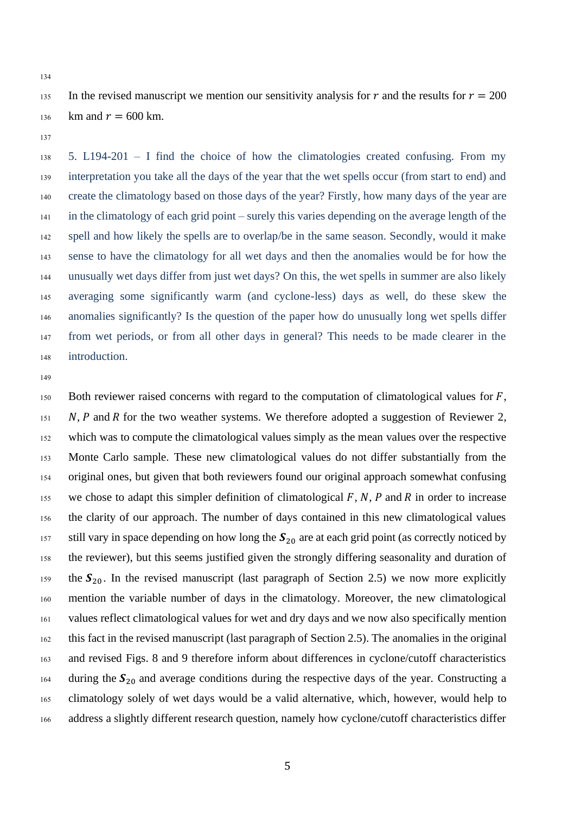- 135 In the revised manuscript we mention our sensitivity analysis for r and the results for  $r = 200$ 136 km and  $r = 600$  km.
- 

 5. L194-201 – I find the choice of how the climatologies created confusing. From my interpretation you take all the days of the year that the wet spells occur (from start to end) and create the climatology based on those days of the year? Firstly, how many days of the year are in the climatology of each grid point – surely this varies depending on the average length of the spell and how likely the spells are to overlap/be in the same season. Secondly, would it make sense to have the climatology for all wet days and then the anomalies would be for how the unusually wet days differ from just wet days? On this, the wet spells in summer are also likely averaging some significantly warm (and cyclone-less) days as well, do these skew the anomalies significantly? Is the question of the paper how do unusually long wet spells differ from wet periods, or from all other days in general? This needs to be made clearer in the introduction.

150 Both reviewer raised concerns with regard to the computation of climatological values for  $F$ , N, P and R for the two weather systems. We therefore adopted a suggestion of Reviewer 2, which was to compute the climatological values simply as the mean values over the respective Monte Carlo sample. These new climatological values do not differ substantially from the original ones, but given that both reviewers found our original approach somewhat confusing 155 we chose to adapt this simpler definition of climatological  $F$ ,  $N$ ,  $P$  and  $R$  in order to increase the clarity of our approach. The number of days contained in this new climatological values 157 still vary in space depending on how long the  $S_{20}$  are at each grid point (as correctly noticed by the reviewer), but this seems justified given the strongly differing seasonality and duration of the  $S_{20}$ . In the revised manuscript (last paragraph of Section 2.5) we now more explicitly mention the variable number of days in the climatology. Moreover, the new climatological values reflect climatological values for wet and dry days and we now also specifically mention this fact in the revised manuscript (last paragraph of Section 2.5). The anomalies in the original and revised Figs. 8 and 9 therefore inform about differences in cyclone/cutoff characteristics 164 during the  $S_{20}$  and average conditions during the respective days of the year. Constructing a climatology solely of wet days would be a valid alternative, which, however, would help to address a slightly different research question, namely how cyclone/cutoff characteristics differ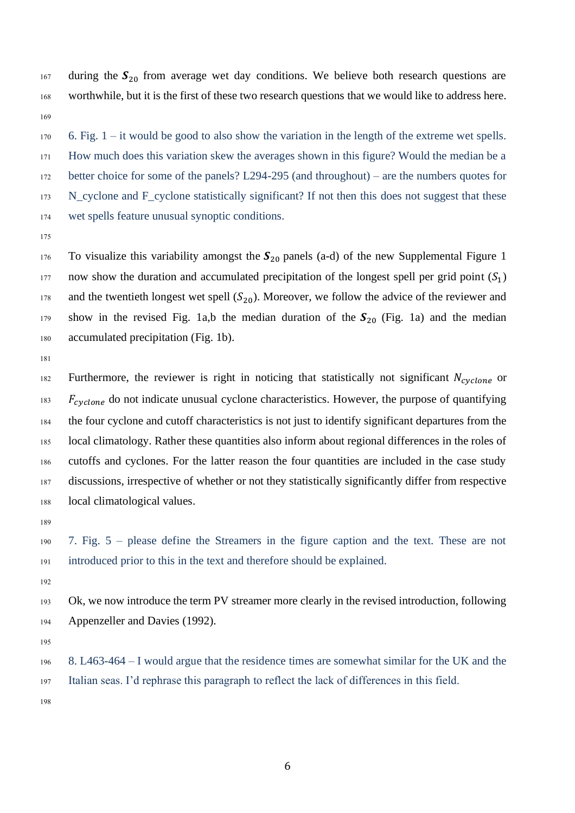during the  $S_{20}$  from average wet day conditions. We believe both research questions are worthwhile, but it is the first of these two research questions that we would like to address here. 

 6. Fig. 1 – it would be good to also show the variation in the length of the extreme wet spells. How much does this variation skew the averages shown in this figure? Would the median be a better choice for some of the panels? L294-295 (and throughout) – are the numbers quotes for 173 N\_cyclone and F\_cyclone statistically significant? If not then this does not suggest that these wet spells feature unusual synoptic conditions.

176 To visualize this variability amongst the  $S_{20}$  panels (a-d) of the new Supplemental Figure 1 now show the duration and accumulated precipitation of the longest spell per grid point  $(S_1)$  and the twentieth longest wet spell ( $S_{20}$ ). Moreover, we follow the advice of the reviewer and show in the revised Fig. 1a,b the median duration of the  $S_{20}$  (Fig. 1a) and the median accumulated precipitation (Fig. 1b).

182 Furthermore, the reviewer is right in noticing that statistically not significant  $N_{cyclone}$  or  $F_{cyclone}$  do not indicate unusual cyclone characteristics. However, the purpose of quantifying the four cyclone and cutoff characteristics is not just to identify significant departures from the local climatology. Rather these quantities also inform about regional differences in the roles of cutoffs and cyclones. For the latter reason the four quantities are included in the case study discussions, irrespective of whether or not they statistically significantly differ from respective local climatological values.

 7. Fig. 5 – please define the Streamers in the figure caption and the text. These are not introduced prior to this in the text and therefore should be explained.

 Ok, we now introduce the term PV streamer more clearly in the revised introduction, following Appenzeller and Davies (1992).

 8. L463-464 – I would argue that the residence times are somewhat similar for the UK and the Italian seas. I'd rephrase this paragraph to reflect the lack of differences in this field.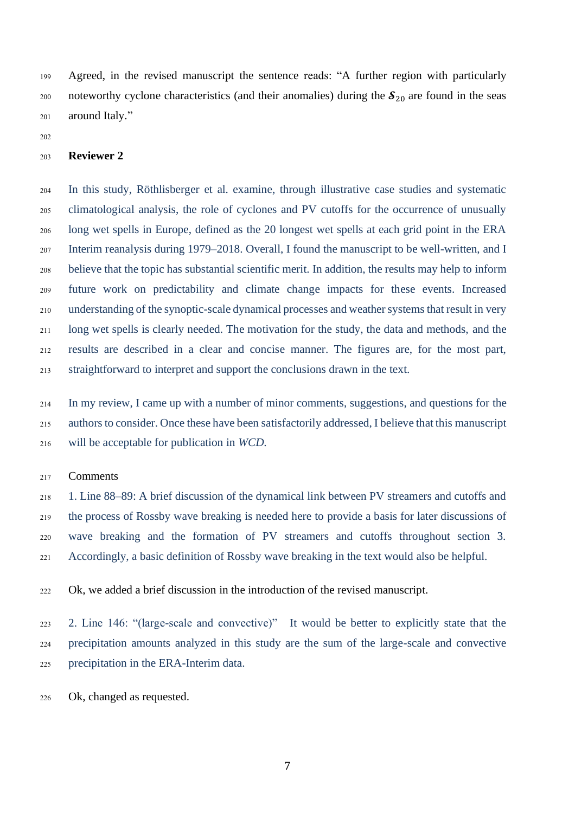Agreed, in the revised manuscript the sentence reads: "A further region with particularly 200 noteworthy cyclone characteristics (and their anomalies) during the  $S_{20}$  are found in the seas around Italy."

#### **Reviewer 2**

 In this study, Röthlisberger et al. examine, through illustrative case studies and systematic climatological analysis, the role of cyclones and PV cutoffs for the occurrence of unusually long wet spells in Europe, defined as the 20 longest wet spells at each grid point in the ERA Interim reanalysis during 1979–2018. Overall, I found the manuscript to be well-written, and I believe that the topic has substantial scientific merit. In addition, the results may help to inform future work on predictability and climate change impacts for these events. Increased understanding of the synoptic-scale dynamical processes and weather systems that result in very long wet spells is clearly needed. The motivation for the study, the data and methods, and the results are described in a clear and concise manner. The figures are, for the most part, straightforward to interpret and support the conclusions drawn in the text.

 In my review, I came up with a number of minor comments, suggestions, and questions for the authors to consider. Once these have been satisfactorily addressed, I believe that this manuscript will be acceptable for publication in *WCD.*

#### Comments

 1. Line 88–89: A brief discussion of the dynamical link between PV streamers and cutoffs and the process of Rossby wave breaking is needed here to provide a basis for later discussions of wave breaking and the formation of PV streamers and cutoffs throughout section 3. Accordingly, a basic definition of Rossby wave breaking in the text would also be helpful.

Ok, we added a brief discussion in the introduction of the revised manuscript.

 2. Line 146: "(large-scale and convective)" It would be better to explicitly state that the precipitation amounts analyzed in this study are the sum of the large-scale and convective precipitation in the ERA-Interim data.

Ok, changed as requested.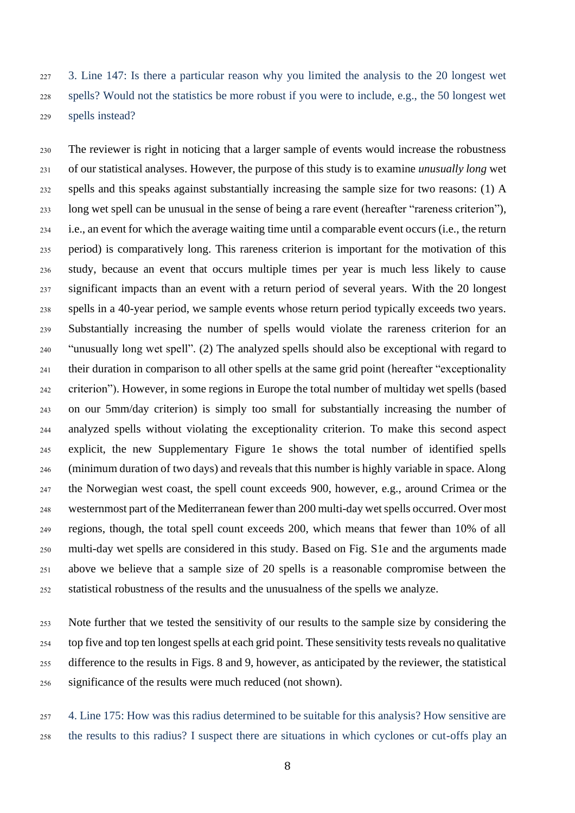3. Line 147: Is there a particular reason why you limited the analysis to the 20 longest wet spells? Would not the statistics be more robust if you were to include, e.g., the 50 longest wet spells instead?

 The reviewer is right in noticing that a larger sample of events would increase the robustness of our statistical analyses. However, the purpose of this study is to examine *unusually long* wet spells and this speaks against substantially increasing the sample size for two reasons: (1) A long wet spell can be unusual in the sense of being a rare event (hereafter "rareness criterion"), i.e., an event for which the average waiting time until a comparable event occurs (i.e., the return period) is comparatively long. This rareness criterion is important for the motivation of this study, because an event that occurs multiple times per year is much less likely to cause significant impacts than an event with a return period of several years. With the 20 longest spells in a 40-year period, we sample events whose return period typically exceeds two years. Substantially increasing the number of spells would violate the rareness criterion for an "unusually long wet spell". (2) The analyzed spells should also be exceptional with regard to their duration in comparison to all other spells at the same grid point (hereafter "exceptionality criterion"). However, in some regions in Europe the total number of multiday wet spells (based on our 5mm/day criterion) is simply too small for substantially increasing the number of analyzed spells without violating the exceptionality criterion. To make this second aspect explicit, the new Supplementary Figure 1e shows the total number of identified spells (minimum duration of two days) and reveals that this number is highly variable in space. Along the Norwegian west coast, the spell count exceeds 900, however, e.g., around Crimea or the westernmost part of the Mediterranean fewer than 200 multi-day wet spells occurred. Over most regions, though, the total spell count exceeds 200, which means that fewer than 10% of all multi-day wet spells are considered in this study. Based on Fig. S1e and the arguments made above we believe that a sample size of 20 spells is a reasonable compromise between the statistical robustness of the results and the unusualness of the spells we analyze.

 Note further that we tested the sensitivity of our results to the sample size by considering the top five and top ten longest spells at each grid point. These sensitivity tests reveals no qualitative difference to the results in Figs. 8 and 9, however, as anticipated by the reviewer, the statistical significance of the results were much reduced (not shown).

 4. Line 175: How was this radius determined to be suitable for this analysis? How sensitive are the results to this radius? I suspect there are situations in which cyclones or cut-offs play an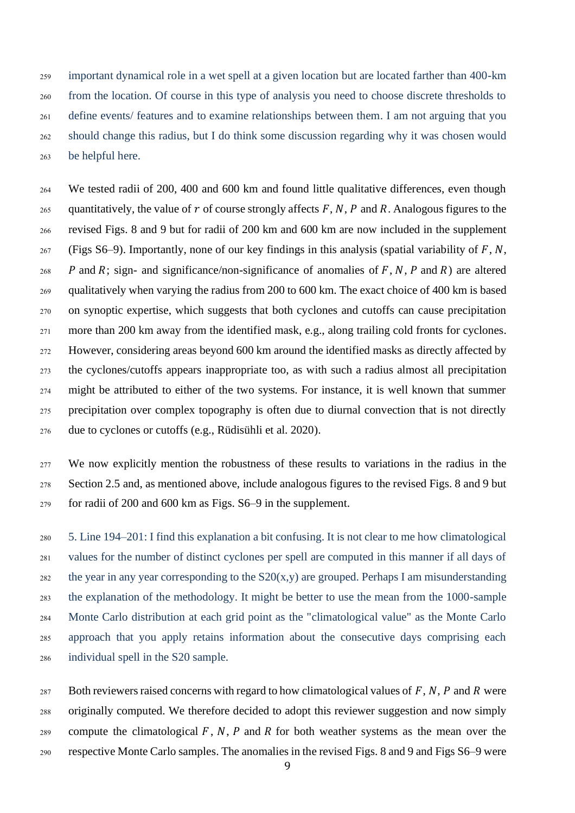important dynamical role in a wet spell at a given location but are located farther than 400-km from the location. Of course in this type of analysis you need to choose discrete thresholds to define events/ features and to examine relationships between them. I am not arguing that you should change this radius, but I do think some discussion regarding why it was chosen would be helpful here.

 We tested radii of 200, 400 and 600 km and found little qualitative differences, even though 265 quantitatively, the value of  $r$  of course strongly affects  $F, N, P$  and  $R$ . Analogous figures to the revised Figs. 8 and 9 but for radii of 200 km and 600 km are now included in the supplement 267 (Figs S6–9). Importantly, none of our key findings in this analysis (spatial variability of  $F, N$ ,  $P$  and R; sign- and significance/non-significance of anomalies of F, N, P and R) are altered qualitatively when varying the radius from 200 to 600 km. The exact choice of 400 km is based on synoptic expertise, which suggests that both cyclones and cutoffs can cause precipitation more than 200 km away from the identified mask, e.g., along trailing cold fronts for cyclones. However, considering areas beyond 600 km around the identified masks as directly affected by the cyclones/cutoffs appears inappropriate too, as with such a radius almost all precipitation might be attributed to either of the two systems. For instance, it is well known that summer precipitation over complex topography is often due to diurnal convection that is not directly due to cyclones or cutoffs (e.g., Rüdisühli et al. 2020).

 We now explicitly mention the robustness of these results to variations in the radius in the Section 2.5 and, as mentioned above, include analogous figures to the revised Figs. 8 and 9 but for radii of 200 and 600 km as Figs. S6–9 in the supplement.

 5. Line 194–201: I find this explanation a bit confusing. It is not clear to me how climatological values for the number of distinct cyclones per spell are computed in this manner if all days of 282 the year in any year corresponding to the  $S20(x,y)$  are grouped. Perhaps I am misunderstanding the explanation of the methodology. It might be better to use the mean from the 1000-sample Monte Carlo distribution at each grid point as the "climatological value" as the Monte Carlo approach that you apply retains information about the consecutive days comprising each individual spell in the S20 sample.

287 Both reviewers raised concerns with regard to how climatological values of  $F$ ,  $N$ ,  $P$  and  $R$  were originally computed. We therefore decided to adopt this reviewer suggestion and now simply 289 compute the climatological  $F, N, P$  and  $R$  for both weather systems as the mean over the respective Monte Carlo samples. The anomalies in the revised Figs. 8 and 9 and Figs S6–9 were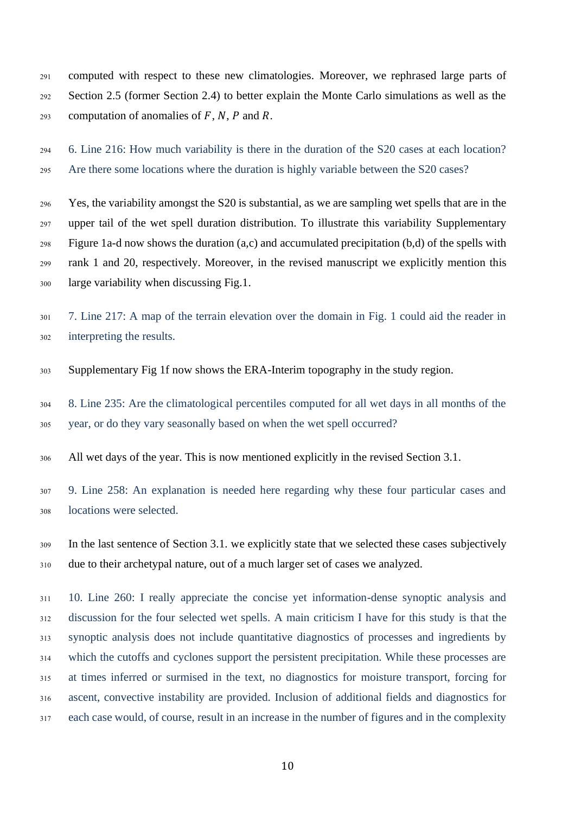computed with respect to these new climatologies. Moreover, we rephrased large parts of Section 2.5 (former Section 2.4) to better explain the Monte Carlo simulations as well as the 293 computation of anomalies of  $F$ ,  $N$ ,  $P$  and  $R$ .

 6. Line 216: How much variability is there in the duration of the S20 cases at each location? Are there some locations where the duration is highly variable between the S20 cases?

 Yes, the variability amongst the S20 is substantial, as we are sampling wet spells that are in the upper tail of the wet spell duration distribution. To illustrate this variability Supplementary Figure 1a-d now shows the duration (a,c) and accumulated precipitation (b,d) of the spells with rank 1 and 20, respectively. Moreover, in the revised manuscript we explicitly mention this large variability when discussing Fig.1.

- 7. Line 217: A map of the terrain elevation over the domain in Fig. 1 could aid the reader in interpreting the results.
- Supplementary Fig 1f now shows the ERA-Interim topography in the study region.

 8. Line 235: Are the climatological percentiles computed for all wet days in all months of the year, or do they vary seasonally based on when the wet spell occurred?

All wet days of the year. This is now mentioned explicitly in the revised Section 3.1.

 9. Line 258: An explanation is needed here regarding why these four particular cases and locations were selected.

 In the last sentence of Section 3.1. we explicitly state that we selected these cases subjectively due to their archetypal nature, out of a much larger set of cases we analyzed.

 10. Line 260: I really appreciate the concise yet information-dense synoptic analysis and discussion for the four selected wet spells. A main criticism I have for this study is that the synoptic analysis does not include quantitative diagnostics of processes and ingredients by which the cutoffs and cyclones support the persistent precipitation. While these processes are at times inferred or surmised in the text, no diagnostics for moisture transport, forcing for ascent, convective instability are provided. Inclusion of additional fields and diagnostics for each case would, of course, result in an increase in the number of figures and in the complexity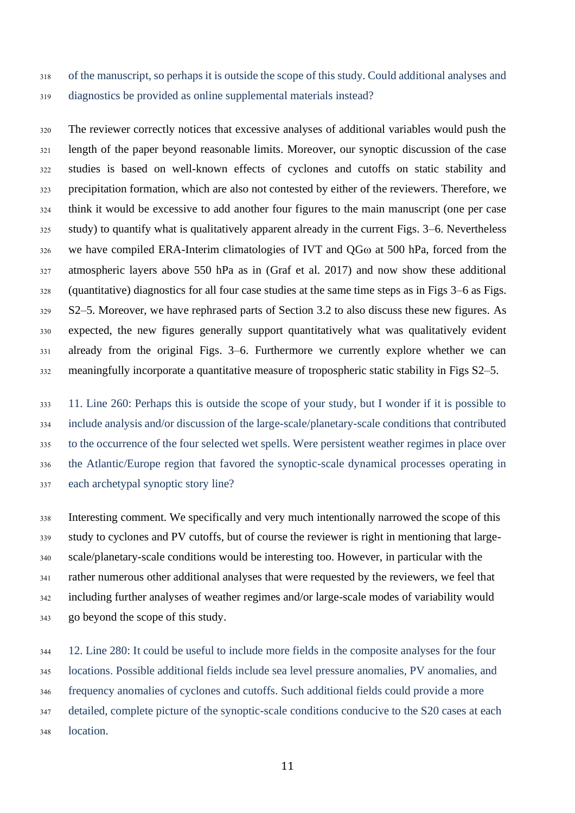of the manuscript, so perhaps it is outside the scope of this study. Could additional analyses and diagnostics be provided as online supplemental materials instead?

 The reviewer correctly notices that excessive analyses of additional variables would push the length of the paper beyond reasonable limits. Moreover, our synoptic discussion of the case studies is based on well-known effects of cyclones and cutoffs on static stability and precipitation formation, which are also not contested by either of the reviewers. Therefore, we think it would be excessive to add another four figures to the main manuscript (one per case study) to quantify what is qualitatively apparent already in the current Figs. 3–6. Nevertheless we have compiled ERA-Interim climatologies of IVT and QG $\omega$  at 500 hPa, forced from the atmospheric layers above 550 hPa as in (Graf et al. 2017) and now show these additional (quantitative) diagnostics for all four case studies at the same time steps as in Figs 3–6 as Figs. S2–5. Moreover, we have rephrased parts of Section 3.2 to also discuss these new figures. As expected, the new figures generally support quantitatively what was qualitatively evident already from the original Figs. 3–6. Furthermore we currently explore whether we can meaningfully incorporate a quantitative measure of tropospheric static stability in Figs S2–5.

 11. Line 260: Perhaps this is outside the scope of your study, but I wonder if it is possible to include analysis and/or discussion of the large-scale/planetary-scale conditions that contributed to the occurrence of the four selected wet spells. Were persistent weather regimes in place over the Atlantic/Europe region that favored the synoptic-scale dynamical processes operating in each archetypal synoptic story line?

 Interesting comment. We specifically and very much intentionally narrowed the scope of this study to cyclones and PV cutoffs, but of course the reviewer is right in mentioning that large- scale/planetary-scale conditions would be interesting too. However, in particular with the rather numerous other additional analyses that were requested by the reviewers, we feel that including further analyses of weather regimes and/or large-scale modes of variability would go beyond the scope of this study.

 12. Line 280: It could be useful to include more fields in the composite analyses for the four locations. Possible additional fields include sea level pressure anomalies, PV anomalies, and frequency anomalies of cyclones and cutoffs. Such additional fields could provide a more detailed, complete picture of the synoptic-scale conditions conducive to the S20 cases at each location.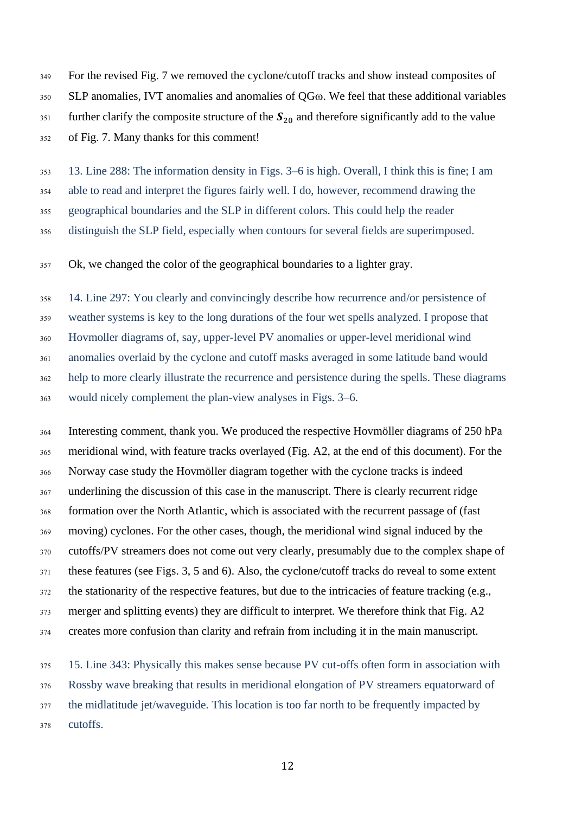For the revised Fig. 7 we removed the cyclone/cutoff tracks and show instead composites of 350 SLP anomalies, IVT anomalies and anomalies of QG $\omega$ . We feel that these additional variables further clarify the composite structure of the  $S_{20}$  and therefore significantly add to the value

of Fig. 7. Many thanks for this comment!

13. Line 288: The information density in Figs. 3–6 is high. Overall, I think this is fine; I am

able to read and interpret the figures fairly well. I do, however, recommend drawing the

geographical boundaries and the SLP in different colors. This could help the reader

distinguish the SLP field, especially when contours for several fields are superimposed.

Ok, we changed the color of the geographical boundaries to a lighter gray.

 14. Line 297: You clearly and convincingly describe how recurrence and/or persistence of weather systems is key to the long durations of the four wet spells analyzed. I propose that Hovmoller diagrams of, say, upper-level PV anomalies or upper-level meridional wind anomalies overlaid by the cyclone and cutoff masks averaged in some latitude band would help to more clearly illustrate the recurrence and persistence during the spells. These diagrams would nicely complement the plan-view analyses in Figs. 3–6.

 Interesting comment, thank you. We produced the respective Hovmöller diagrams of 250 hPa meridional wind, with feature tracks overlayed (Fig. A2, at the end of this document). For the Norway case study the Hovmöller diagram together with the cyclone tracks is indeed underlining the discussion of this case in the manuscript. There is clearly recurrent ridge formation over the North Atlantic, which is associated with the recurrent passage of (fast moving) cyclones. For the other cases, though, the meridional wind signal induced by the cutoffs/PV streamers does not come out very clearly, presumably due to the complex shape of these features (see Figs. 3, 5 and 6). Also, the cyclone/cutoff tracks do reveal to some extent the stationarity of the respective features, but due to the intricacies of feature tracking (e.g., 373 merger and splitting events) they are difficult to interpret. We therefore think that Fig. A2 creates more confusion than clarity and refrain from including it in the main manuscript.

 15. Line 343: Physically this makes sense because PV cut-offs often form in association with Rossby wave breaking that results in meridional elongation of PV streamers equatorward of the midlatitude jet/waveguide. This location is too far north to be frequently impacted by cutoffs.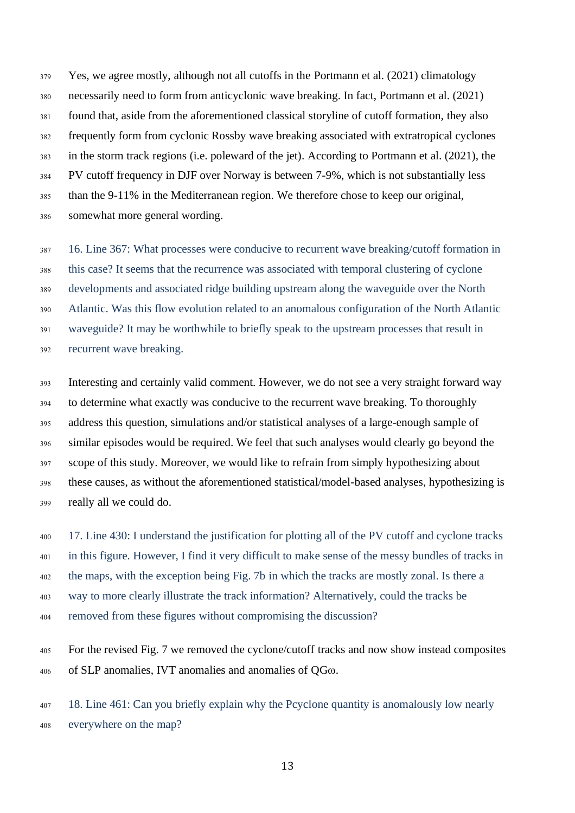Yes, we agree mostly, although not all cutoffs in the Portmann et al. (2021) climatology necessarily need to form from anticyclonic wave breaking. In fact, Portmann et al. (2021) found that, aside from the aforementioned classical storyline of cutoff formation, they also frequently form from cyclonic Rossby wave breaking associated with extratropical cyclones in the storm track regions (i.e. poleward of the jet). According to Portmann et al. (2021), the PV cutoff frequency in DJF over Norway is between 7-9%, which is not substantially less than the 9-11% in the Mediterranean region. We therefore chose to keep our original, somewhat more general wording.

 16. Line 367: What processes were conducive to recurrent wave breaking/cutoff formation in this case? It seems that the recurrence was associated with temporal clustering of cyclone developments and associated ridge building upstream along the waveguide over the North Atlantic. Was this flow evolution related to an anomalous configuration of the North Atlantic waveguide? It may be worthwhile to briefly speak to the upstream processes that result in recurrent wave breaking.

 Interesting and certainly valid comment. However, we do not see a very straight forward way to determine what exactly was conducive to the recurrent wave breaking. To thoroughly address this question, simulations and/or statistical analyses of a large-enough sample of similar episodes would be required. We feel that such analyses would clearly go beyond the scope of this study. Moreover, we would like to refrain from simply hypothesizing about these causes, as without the aforementioned statistical/model-based analyses, hypothesizing is really all we could do.

 17. Line 430: I understand the justification for plotting all of the PV cutoff and cyclone tracks in this figure. However, I find it very difficult to make sense of the messy bundles of tracks in the maps, with the exception being Fig. 7b in which the tracks are mostly zonal. Is there a way to more clearly illustrate the track information? Alternatively, could the tracks be removed from these figures without compromising the discussion?

 For the revised Fig. 7 we removed the cyclone/cutoff tracks and now show instead composites 406 of SLP anomalies, IVT anomalies and anomalies of QG $\omega$ .

 18. Line 461: Can you briefly explain why the Pcyclone quantity is anomalously low nearly everywhere on the map?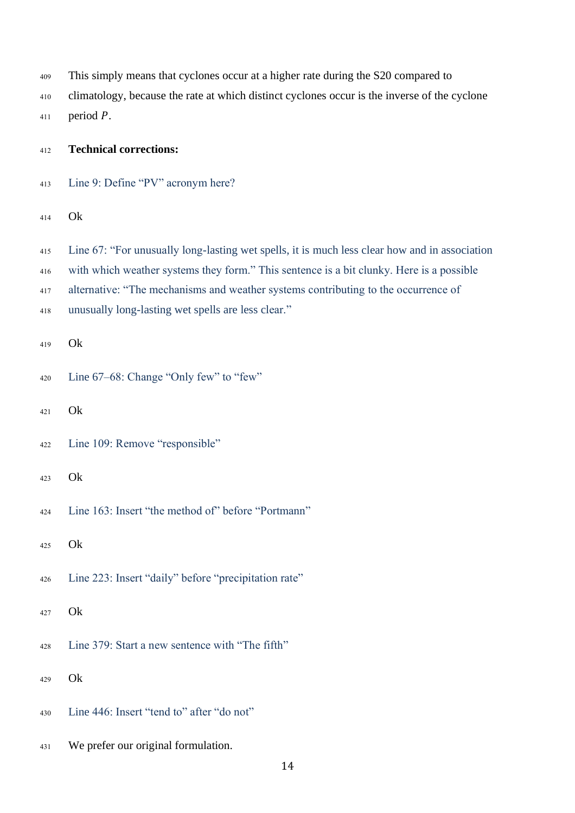| 409 | This simply means that cyclones occur at a higher rate during the S20 compared to             |
|-----|-----------------------------------------------------------------------------------------------|
| 410 | climatology, because the rate at which distinct cyclones occur is the inverse of the cyclone  |
| 411 | period $P$ .                                                                                  |
| 412 | <b>Technical corrections:</b>                                                                 |
| 413 | Line 9: Define "PV" acronym here?                                                             |
| 414 | Ok                                                                                            |
| 415 | Line 67: "For unusually long-lasting wet spells, it is much less clear how and in association |
| 416 | with which weather systems they form." This sentence is a bit clunky. Here is a possible      |
| 417 | alternative: "The mechanisms and weather systems contributing to the occurrence of            |
| 418 | unusually long-lasting wet spells are less clear."                                            |
| 419 | Ok                                                                                            |
| 420 | Line 67–68: Change "Only few" to "few"                                                        |
| 421 | Ok                                                                                            |
| 422 | Line 109: Remove "responsible"                                                                |
| 423 | Ok                                                                                            |
| 424 | Line 163: Insert "the method of" before "Portmann"                                            |
| 425 | Ok                                                                                            |
| 426 | Line 223: Insert "daily" before "precipitation rate"                                          |
| 427 | Ok                                                                                            |
| 428 | Line 379: Start a new sentence with "The fifth"                                               |
| 429 | Ok                                                                                            |
| 430 | Line 446: Insert "tend to" after "do not"                                                     |
| 431 | We prefer our original formulation.                                                           |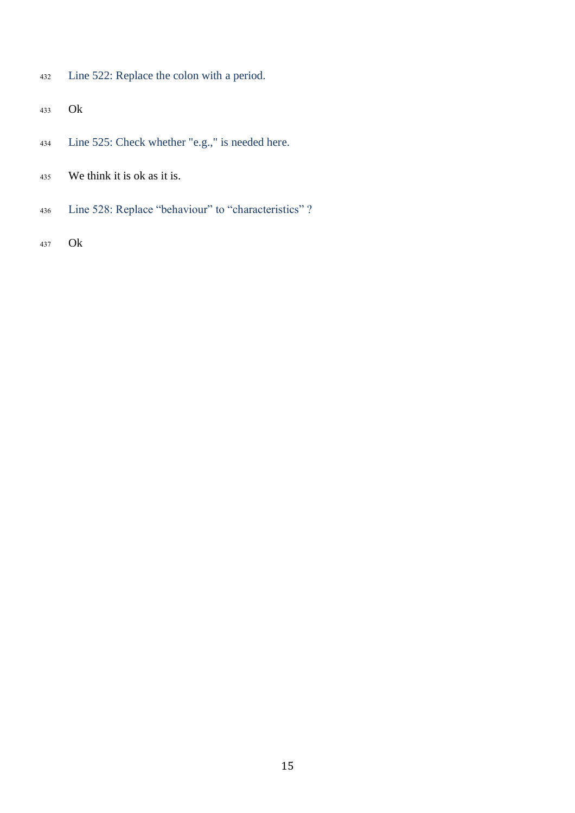- Line 522: Replace the colon with a period.
- Ok
- Line 525: Check whether "e.g.," is needed here.
- We think it is ok as it is.
- Line 528: Replace "behaviour" to "characteristics" ?
- Ok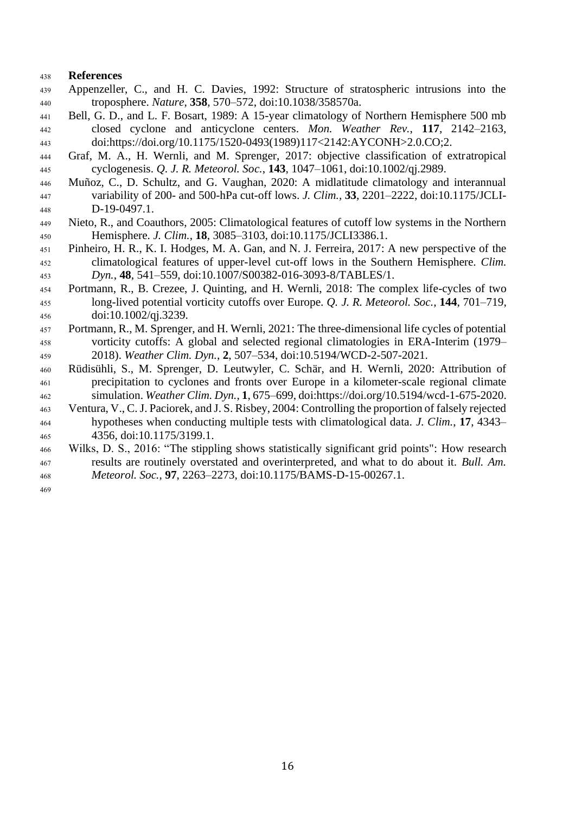### **References**

- Appenzeller, C., and H. C. Davies, 1992: Structure of stratospheric intrusions into the troposphere. *Nature*, **358**, 570–572, doi:10.1038/358570a.
- Bell, G. D., and L. F. Bosart, 1989: A 15-year climatology of Northern Hemisphere 500 mb closed cyclone and anticyclone centers. *Mon. Weather Rev.*, **117**, 2142–2163, doi:https://doi.org/10.1175/1520-0493(1989)117<2142:AYCONH>2.0.CO;2.
- Graf, M. A., H. Wernli, and M. Sprenger, 2017: objective classification of extratropical cyclogenesis. *Q. J. R. Meteorol. Soc.*, **143**, 1047–1061, doi:10.1002/qj.2989.
- Muñoz, C., D. Schultz, and G. Vaughan, 2020: A midlatitude climatology and interannual variability of 200- and 500-hPa cut-off lows. *J. Clim.*, **33**, 2201–2222, doi:10.1175/JCLI-D-19-0497.1.
- Nieto, R., and Coauthors, 2005: Climatological features of cutoff low systems in the Northern Hemisphere. *J. Clim.*, **18**, 3085–3103, doi:10.1175/JCLI3386.1.
- Pinheiro, H. R., K. I. Hodges, M. A. Gan, and N. J. Ferreira, 2017: A new perspective of the climatological features of upper-level cut-off lows in the Southern Hemisphere. *Clim. Dyn.*, **48**, 541–559, doi:10.1007/S00382-016-3093-8/TABLES/1.
- Portmann, R., B. Crezee, J. Quinting, and H. Wernli, 2018: The complex life-cycles of two long-lived potential vorticity cutoffs over Europe. *Q. J. R. Meteorol. Soc.*, **144**, 701–719, doi:10.1002/qj.3239.
- Portmann, R., M. Sprenger, and H. Wernli, 2021: The three-dimensional life cycles of potential vorticity cutoffs: A global and selected regional climatologies in ERA-Interim (1979– 2018). *Weather Clim. Dyn.*, **2**, 507–534, doi:10.5194/WCD-2-507-2021.
- Rüdisühli, S., M. Sprenger, D. Leutwyler, C. Schär, and H. Wernli, 2020: Attribution of precipitation to cyclones and fronts over Europe in a kilometer-scale regional climate simulation. *Weather Clim. Dyn.*, **1**, 675–699, doi:https://doi.org/10.5194/wcd-1-675-2020.
- Ventura, V., C. J. Paciorek, and J. S. Risbey, 2004: Controlling the proportion of falsely rejected hypotheses when conducting multiple tests with climatological data. *J. Clim.*, **17**, 4343– 4356, doi:10.1175/3199.1.
- Wilks, D. S., 2016: "The stippling shows statistically significant grid points": How research results are routinely overstated and overinterpreted, and what to do about it. *Bull. Am. Meteorol. Soc.*, **97**, 2263–2273, doi:10.1175/BAMS-D-15-00267.1.
-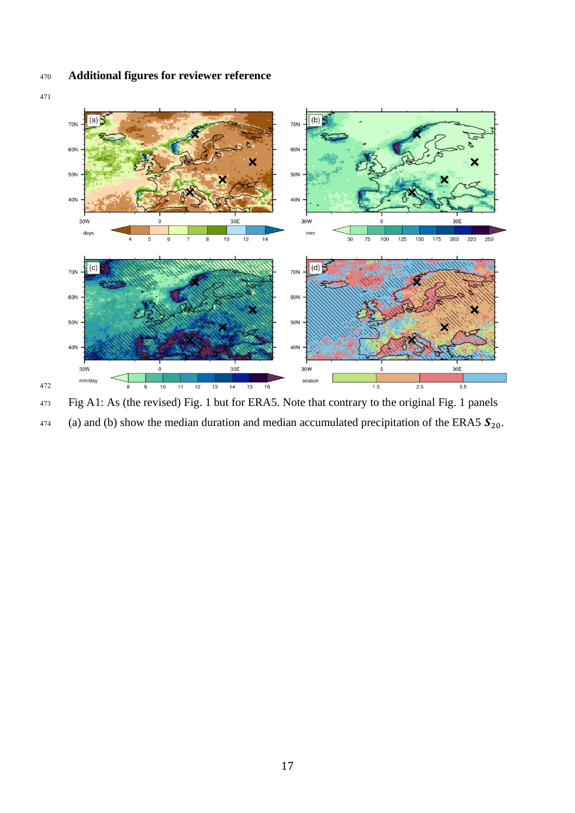# **Additional figures for reviewer reference**



 Fig A1: As (the revised) Fig. 1 but for ERA5. Note that contrary to the original Fig. 1 panels (a) and (b) show the median duration and median accumulated precipitation of the ERA5  $S_{20}$ .